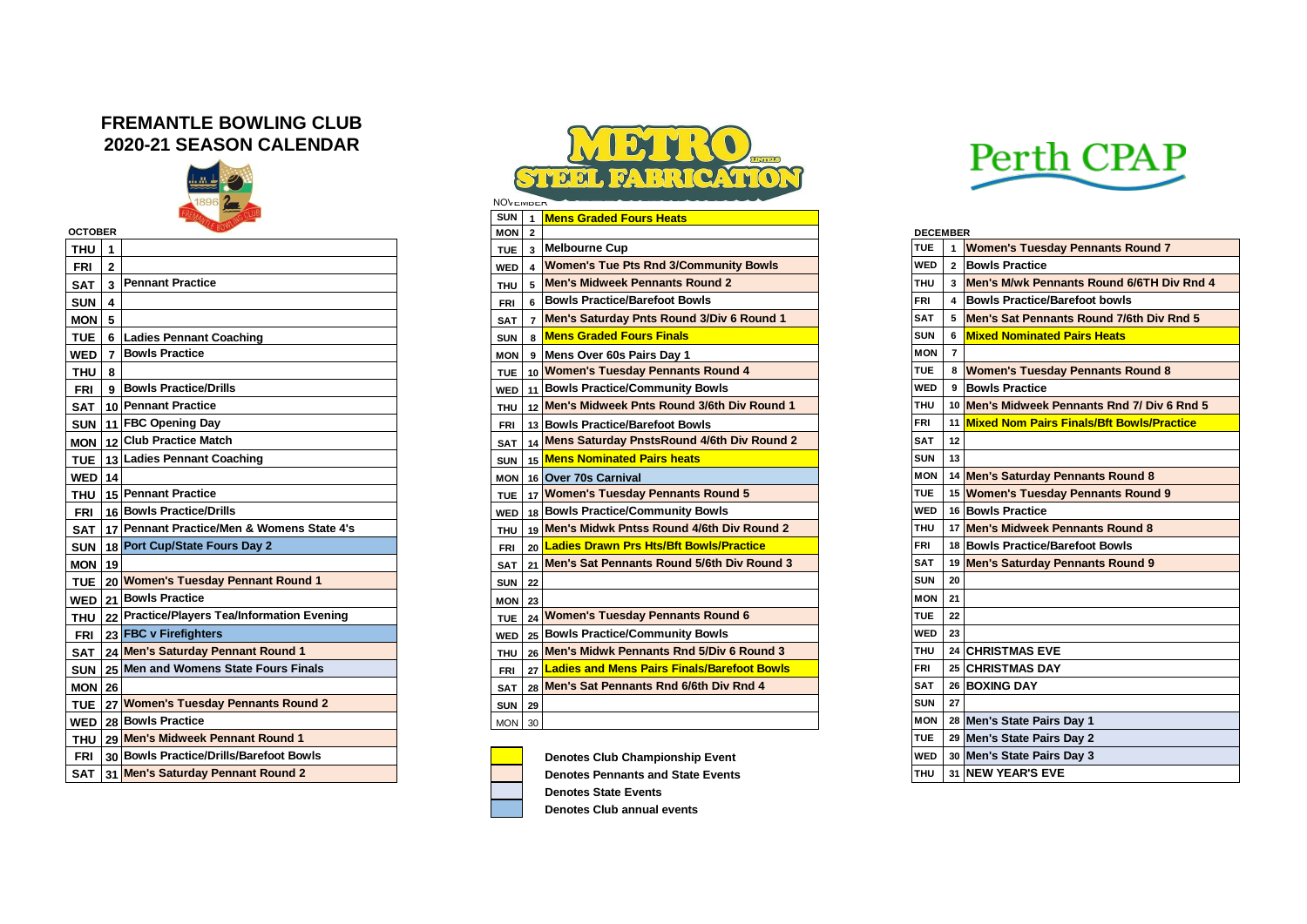## **FREMANTLE BOWLING CLUB 2020-21 SEASON CALENDAR**



| <b>OCTOBER</b>                                           | MON <sub>2</sub> |                         |                                                |            | <b>DECEMBER</b> |                |                             |
|----------------------------------------------------------|------------------|-------------------------|------------------------------------------------|------------|-----------------|----------------|-----------------------------|
| <b>THU</b><br>l 1                                        | <b>TUE</b>       |                         | 3 Melbourne Cup                                | <b>TUE</b> |                 |                | <b>Women's Tuesday Peni</b> |
| $\mathbf{2}$<br><b>FRI</b>                               | <b>WED</b>       | $\overline{\mathbf{A}}$ | <b>Women's Tue Pts Rnd 3/Community Bowls</b>   | <b>WED</b> |                 |                | 2 Bowls Practice            |
| <b>Pennant Practice</b><br>$\mathbf{3}$<br><b>SAT</b>    | <b>THU</b>       | 5                       | <b>Men's Midweek Pennants Round 2</b>          | <b>THU</b> |                 |                | 3 Men's M/wk Pennants R     |
| <b>SUN</b><br>$\overline{4}$                             | <b>FRI</b>       | 6                       | <b>Bowls Practice/Barefoot Bowls</b>           | FRI        |                 |                | 4 Bowls Practice/Barefoo    |
| $MON$ 5                                                  | <b>SAT</b>       |                         | Men's Saturday Pnts Round 3/Div 6 Round 1      | <b>SAT</b> |                 |                | 5 Men's Sat Pennants Ro     |
| <b>TUE</b><br>6 Ladies Pennant Coaching                  | <b>SUN</b>       | 8                       | <b>Mens Graded Fours Finals</b>                | <b>SUN</b> |                 |                | 6 Mixed Nominated Pairs     |
| <b>Bowls Practice</b><br><b>WED</b><br>$\overline{7}$    | <b>MON</b>       |                         | 9 Mens Over 60s Pairs Day 1                    | <b>MON</b> |                 | $\overline{7}$ |                             |
| <b>THU</b><br>8                                          | <b>TUE</b>       |                         | 10 Women's Tuesday Pennants Round 4            | TUE        |                 |                | 8 Women's Tuesday Peni      |
| 9 Bowls Practice/Drills<br><b>FRI</b>                    |                  |                         | WED 11 Bowls Practice/Community Bowls          | WED        |                 |                | 9 Bowls Practice            |
| 10 Pennant Practice<br><b>SAT</b>                        | <b>THU</b>       |                         | 12 Men's Midweek Pnts Round 3/6th Div Round 1  | <b>THU</b> |                 |                | 10 Men's Midweek Pennan     |
| SUN   11   FBC Opening Day                               | FRI              |                         | 13 Bowls Practice/Barefoot Bowls               | <b>FRI</b> |                 |                | 11 Mixed Nom Pairs Finals   |
| MON 12 Club Practice Match                               | <b>SAT</b>       |                         | 14 Mens Saturday Pnsts Round 4/6th Div Round 2 | <b>SAT</b> |                 | 12             |                             |
| 13 Ladies Pennant Coaching<br><b>TUE</b>                 | <b>SUN</b>       |                         | 15 Mens Nominated Pairs heats                  | <b>SUN</b> |                 | 13             |                             |
| <b>WED</b> 14                                            | <b>MON</b>       |                         | 16 Over 70s Carnival                           | <b>MON</b> |                 |                | 14 Men's Saturday Pennan    |
| 15 Pennant Practice<br><b>THU</b>                        | <b>TUE</b>       |                         | 17 Women's Tuesday Pennants Round 5            | <b>TUE</b> |                 |                | 15 Women's Tuesday Peni     |
| 16 Bowls Practice/Drills<br><b>FRI</b>                   | <b>WED</b>       |                         | 18 Bowls Practice/Community Bowls              | WED        |                 |                | 16 Bowls Practice           |
| 17 Pennant Practice/Men & Womens State 4's<br><b>SAT</b> | <b>THU</b>       |                         | 19 Men's Midwk Pntss Round 4/6th Div Round 2   | <b>THU</b> |                 |                | 17 Men's Midweek Pennan     |
| SUN 18 Port Cup/State Fours Day 2                        | FRI              |                         | 20 Ladies Drawn Prs Hts/Bft Bowls/Practice     | FRI        |                 |                | 18 Bowls Practice/Barefoo   |
| <b>MON</b> 19                                            | <b>SAT</b>       |                         | 21 Men's Sat Pennants Round 5/6th Div Round 3  | <b>SAT</b> |                 |                | 19 Men's Saturday Pennan    |
| 20 Women's Tuesday Pennant Round 1<br><b>TUE</b>         | <b>SUN</b>       | 22                      |                                                | <b>SUN</b> |                 | 20             |                             |
| WED 21 Bowls Practice                                    | <b>MON</b>       | 23                      |                                                | MON        |                 | 21             |                             |
| THU 22 Practice/Players Tea/Information Evening          | <b>TUE</b>       |                         | 24 Women's Tuesday Pennants Round 6            | TUE.       |                 | 22             |                             |
| 23 FBC v Firefighters<br><b>FRI</b>                      | WED              |                         | 25 Bowls Practice/Community Bowls              | <b>WED</b> |                 | 23             |                             |
| 24 Men's Saturday Pennant Round 1<br><b>SAT</b>          | <b>THU</b>       |                         | 26 Men's Midwk Pennants Rnd 5/Div 6 Round 3    | <b>THU</b> |                 |                | 24 CHRISTMAS EVE            |
| 25 Men and Womens State Fours Finals<br><b>SUN</b>       | <b>FRI</b>       |                         | 27 Ladies and Mens Pairs Finals/Barefoot Bowls | <b>FRI</b> |                 |                | 25 CHRISTMAS DAY            |
| <b>MON 26</b>                                            | <b>SAT</b>       |                         | 28 Men's Sat Pennants Rnd 6/6th Div Rnd 4      | <b>SAT</b> |                 |                | 26 BOXING DAY               |
| TUE 27 Women's Tuesday Pennants Round 2                  | <b>SUN 29</b>    |                         |                                                | <b>SUN</b> |                 | 27             |                             |
| WED   28 Bowls Practice                                  | MON 30           |                         |                                                | MON        |                 |                | 28 Men's State Pairs Day 1  |
| THU   29 Men's Midweek Pennant Round 1                   |                  |                         |                                                | <b>TUE</b> |                 |                | 29 Men's State Pairs Day 2  |
| 30 Bowls Practice/Drills/Barefoot Bowls<br><b>FRI</b>    |                  |                         | <b>Denotes Club Championship Event</b>         | <b>WED</b> |                 |                | 30 Men's State Pairs Day 3  |
| <b>SAT</b><br>31 Men's Saturday Pennant Round 2          |                  |                         | <b>Denotes Pennants and State Events</b>       | <b>THU</b> |                 |                | 31 NEW YEAR'S EVE           |



|                  |     |                                                 | <b>NOVEWDER</b> |                |                                                       |                 |    |                                              |
|------------------|-----|-------------------------------------------------|-----------------|----------------|-------------------------------------------------------|-----------------|----|----------------------------------------------|
|                  |     |                                                 | <b>SUN</b>      |                | 1 Mens Graded Fours Heats                             |                 |    |                                              |
| <b>OCTOBER</b>   |     |                                                 | <b>MON</b>      | $\overline{2}$ |                                                       | <b>DECEMBER</b> |    |                                              |
| THU 1            |     |                                                 | <b>TUE</b>      | $\mathbf{3}$   | Melbourne Cup                                         | <b>TUE</b>      | -1 | <b>Women's Tuesday Pennants Round 7</b>      |
| FRI              | l 2 |                                                 | <b>WED</b>      |                | <b>Women's Tue Pts Rnd 3/Community Bowls</b>          | <b>WED</b>      |    | 2 Bowls Practice                             |
|                  |     | SAT   3   Pennant Practice                      | <b>THU</b>      | -5             | Men's Midweek Pennants Round 2                        | <b>THU</b>      |    | 3 Men's M/wk Pennants Round 6/6TH Div Rnd 4  |
| <b>SUN</b>       | -4  |                                                 | <b>FRI</b>      | -6             | <b>Bowls Practice/Barefoot Bowls</b>                  | <b>FRI</b>      |    | 4 Bowls Practice/Barefoot bowls              |
| MON <sub>5</sub> |     |                                                 | SAT             |                | 7 Men's Saturday Pnts Round 3/Div 6 Round 1           | <b>SAT</b>      |    | 5 Men's Sat Pennants Round 7/6th Div Rnd 5   |
|                  |     | TUE   6   Ladies Pennant Coaching               | <b>SUN</b>      |                | 8 Mens Graded Fours Finals                            | <b>SUN</b>      |    | 6 Mixed Nominated Pairs Heats                |
| <b>WED</b>       |     | 7 Bowls Practice                                | <b>MON</b>      |                | 9 Mens Over 60s Pairs Day 1                           | <b>MON</b>      |    |                                              |
| <b>THU</b>       | l 8 |                                                 | <b>TUE</b>      |                | 10 Women's Tuesday Pennants Round 4                   | <b>TUE</b>      |    | 8 Women's Tuesday Pennants Round 8           |
|                  |     | FRI 9 Bowls Practice/Drills                     | <b>WED</b>      |                | 11 Bowls Practice/Community Bowls                     | <b>WED</b>      |    | 9 Bowls Practice                             |
|                  |     | SAT   10 Pennant Practice                       | <b>THU</b>      |                | 12 Men's Midweek Pnts Round 3/6th Div Round 1         | <b>THU</b>      |    | 10 Men's Midweek Pennants Rnd 7/ Div 6 Rnd 5 |
|                  |     | SUN 11 FBC Opening Day                          | FRI             |                | 13 Bowls Practice/Barefoot Bowls                      | <b>FRI</b>      |    | 11 Mixed Nom Pairs Finals/Bft Bowls/Practice |
|                  |     | MON 12 Club Practice Match                      | SAT             |                | 14 Mens Saturday PnstsRound 4/6th Div Round 2         | <b>SAT</b>      | 12 |                                              |
|                  |     | TUE   13 Ladies Pennant Coaching                | <b>SUN</b>      |                | 15 Mens Nominated Pairs heats                         | <b>SUN</b>      | 13 |                                              |
| <b>WED</b> 14    |     |                                                 | MON             |                | 16 Over 70s Carnival                                  | <b>MON</b> I    |    | 14 Men's Saturday Pennants Round 8           |
|                  |     | THU   15 Pennant Practice                       | <b>TUE</b>      |                | 17 Women's Tuesday Pennants Round 5                   | <b>TUE</b>      |    | 15 Women's Tuesday Pennants Round 9          |
|                  |     | FRI 16 Bowls Practice/Drills                    | <b>WED</b>      |                | 18 Bowls Practice/Community Bowls                     | <b>WED</b>      |    | 16 Bowls Practice                            |
|                  |     | SAT 17 Pennant Practice/Men & Womens State 4's  | <b>THU</b>      |                | 19 Men's Midwk Pntss Round 4/6th Div Round 2          | <b>THU</b>      |    | 17 Men's Midweek Pennants Round 8            |
|                  |     | SUN 18 Port Cup/State Fours Day 2               | <b>FRI</b>      |                | <sub>20</sub> Ladies Drawn Prs Hts/Bft Bowls/Practice | <b>FRI</b>      |    | 18 Bowls Practice/Barefoot Bowls             |
| $MON$ 19         |     |                                                 | <b>SAT</b>      |                | 21 Men's Sat Pennants Round 5/6th Div Round 3         | <b>SAT</b>      |    | 19 Men's Saturday Pennants Round 9           |
|                  |     | TUE 20 Women's Tuesday Pennant Round 1          | <b>SUN</b>      | 22             |                                                       | <b>SUN</b>      | 20 |                                              |
|                  |     | WED 21 Bowls Practice                           | <b>MON</b>      | 23             |                                                       | <b>MON</b>      | 21 |                                              |
|                  |     | THU 22 Practice/Players Tea/Information Evening | <b>TUE</b>      |                | 24 Women's Tuesday Pennants Round 6                   | <b>TUE</b>      | 22 |                                              |
|                  |     | FRI 23 FBC v Firefighters                       | <b>WED</b>      |                | 25 Bowls Practice/Community Bowls                     | <b>WED</b>      | 23 |                                              |
|                  |     | SAT 24 Men's Saturday Pennant Round 1           | <b>THU</b>      |                | 26 Men's Midwk Pennants Rnd 5/Div 6 Round 3           | <b>THU</b>      |    | 24 CHRISTMAS EVE                             |
|                  |     | SUN 25 Men and Womens State Fours Finals        | <b>FRI</b>      |                | 27 Ladies and Mens Pairs Finals/Barefoot Bowls        | <b>FRI</b>      |    | 25 CHRISTMAS DAY                             |
| <b>MON 26</b>    |     |                                                 | <b>SAT</b>      |                | 28 Men's Sat Pennants Rnd 6/6th Div Rnd 4             | <b>SAT</b>      |    | 26 BOXING DAY                                |
|                  |     | TUE   27 Women's Tuesday Pennants Round 2       | <b>SUN</b>      | 29             |                                                       | <b>SUN</b>      | 27 |                                              |
|                  |     | WED 28 Bowls Practice                           | <b>MON</b> 30   |                |                                                       | <b>MON</b>      |    | 28 Men's State Pairs Day 1                   |
|                  |     |                                                 |                 |                |                                                       |                 |    |                                              |



Perth CPAP

| <b>DECEMBER</b> |                 |                                                  |  |  |  |  |
|-----------------|-----------------|--------------------------------------------------|--|--|--|--|
| <b>TUF</b>      | 1               | <b>Women's Tuesday Pennants Round 7</b>          |  |  |  |  |
| WED             | 2               | <b>Bowls Practice</b>                            |  |  |  |  |
| тни             | 3               | Men's M/wk Pennants Round 6/6TH Div Rnd 4        |  |  |  |  |
| FRI             | 4               | <b>Bowls Practice/Barefoot bowls</b>             |  |  |  |  |
| <b>SAT</b>      | 5               | Men's Sat Pennants Round 7/6th Div Rnd 5         |  |  |  |  |
| <b>SUN</b>      | 6               | <b>Mixed Nominated Pairs Heats</b>               |  |  |  |  |
| <b>MON</b>      | 7               |                                                  |  |  |  |  |
| TUE             | 8               | <b>Women's Tuesday Pennants Round 8</b>          |  |  |  |  |
| WED             | 9               | <b>Bowls Practice</b>                            |  |  |  |  |
| THU             | 10              | Men's Midweek Pennants Rnd 7/ Div 6 Rnd 5        |  |  |  |  |
| FRI             | 11              | <b>Mixed Nom Pairs Finals/Bft Bowls/Practice</b> |  |  |  |  |
| <b>SAT</b>      | 12              |                                                  |  |  |  |  |
| <b>SUN</b>      | 13              |                                                  |  |  |  |  |
| MON             | 14              | <b>Men's Saturday Pennants Round 8</b>           |  |  |  |  |
| TUE             | 15              | <b>Women's Tuesday Pennants Round 9</b>          |  |  |  |  |
| WED             | 16 <sup>1</sup> | <b>Bowls Practice</b>                            |  |  |  |  |
| THU             | 17              | <b>Men's Midweek Pennants Round 8</b>            |  |  |  |  |
| FRI             | 18              | <b>Bowls Practice/Barefoot Bowls</b>             |  |  |  |  |
| SAT             | 19 <sup>1</sup> | <b>Men's Saturday Pennants Round 9</b>           |  |  |  |  |
| SUN             | 20              |                                                  |  |  |  |  |
| <b>MON</b>      | 21              |                                                  |  |  |  |  |
| TUE             | 22              |                                                  |  |  |  |  |
| <b>WFD</b>      | 23              |                                                  |  |  |  |  |
| THU             |                 | <b>24 CHRISTMAS EVE</b>                          |  |  |  |  |
| FRI             | 25 <sub>1</sub> | <b>CHRISTMAS DAY</b>                             |  |  |  |  |
| SAT             | 26              | <b>BOXING DAY</b>                                |  |  |  |  |
| <b>SUN</b>      | 27              |                                                  |  |  |  |  |
| <b>MON</b>      | 28              | Men's State Pairs Day 1                          |  |  |  |  |
| TUE             | 29 I            | Men's State Pairs Day 2                          |  |  |  |  |
| WED             |                 | 30 Men's State Pairs Day 3                       |  |  |  |  |
| <b>THU</b>      |                 | 31 NEW YEAR'S EVE                                |  |  |  |  |